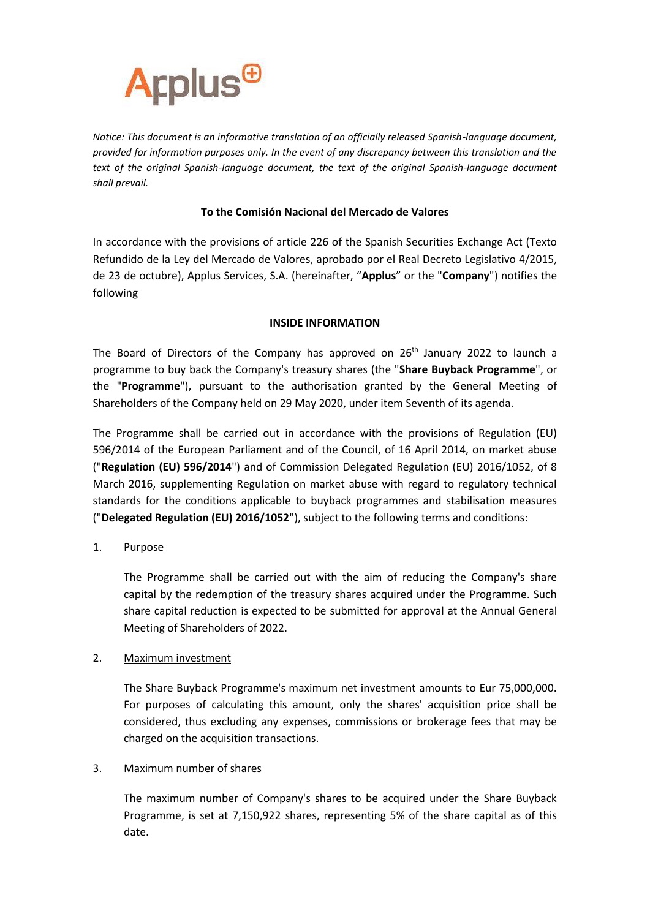

*Notice: This document is an informative translation of an officially released Spanish-language document, provided for information purposes only. In the event of any discrepancy between this translation and the text of the original Spanish-language document, the text of the original Spanish-language document shall prevail.*

# **To the Comisión Nacional del Mercado de Valores**

In accordance with the provisions of article 226 of the Spanish Securities Exchange Act (Texto Refundido de la Ley del Mercado de Valores, aprobado por el Real Decreto Legislativo 4/2015, de 23 de octubre), Applus Services, S.A. (hereinafter, "**Applus**" or the "**Company**") notifies the following

# **INSIDE INFORMATION**

The Board of Directors of the Company has approved on  $26<sup>th</sup>$  January 2022 to launch a programme to buy back the Company's treasury shares (the "**Share Buyback Programme**", or the "**Programme**"), pursuant to the authorisation granted by the General Meeting of Shareholders of the Company held on 29 May 2020, under item Seventh of its agenda.

The Programme shall be carried out in accordance with the provisions of Regulation (EU) 596/2014 of the European Parliament and of the Council, of 16 April 2014, on market abuse ("**Regulation (EU) 596/2014**") and of Commission Delegated Regulation (EU) 2016/1052, of 8 March 2016, supplementing Regulation on market abuse with regard to regulatory technical standards for the conditions applicable to buyback programmes and stabilisation measures ("**Delegated Regulation (EU) 2016/1052**"), subject to the following terms and conditions:

# 1. Purpose

The Programme shall be carried out with the aim of reducing the Company's share capital by the redemption of the treasury shares acquired under the Programme. Such share capital reduction is expected to be submitted for approval at the Annual General Meeting of Shareholders of 2022.

### 2. Maximum investment

The Share Buyback Programme's maximum net investment amounts to Eur 75,000,000. For purposes of calculating this amount, only the shares' acquisition price shall be considered, thus excluding any expenses, commissions or brokerage fees that may be charged on the acquisition transactions.

### 3. Maximum number of shares

The maximum number of Company's shares to be acquired under the Share Buyback Programme, is set at 7,150,922 shares, representing 5% of the share capital as of this date.